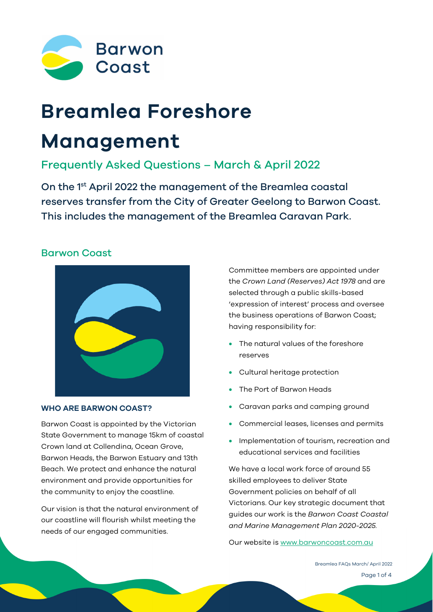

# **Breamlea Foreshore**

# **Management**

# Frequently Asked Questions – March & April 2022

On the 1<sup>st</sup> April 2022 the management of the Breamlea coastal reserves transfer from the City of Greater Geelong to Barwon Coast. This includes the management of the Breamlea Caravan Park.

## Barwon Coast



#### **WHO ARE BARWON COAST?**

Barwon Coast is appointed by the Victorian State Government to manage 15km of coastal Crown land at Collendina, Ocean Grove, Barwon Heads, the Barwon Estuary and 13th Beach. We protect and enhance the natural environment and provide opportunities for the community to enjoy the coastline.

Our vision is that the natural environment of our coastline will flourish whilst meeting the needs of our engaged communities.

Committee members are appointed under the *Crown Land (Reserves) Act 1978* and are selected through a public skills-based 'expression of interest' process and oversee the business operations of Barwon Coast; having responsibility for:

- The natural values of the foreshore reserves
- Cultural heritage protection
- The Port of Barwon Heads
- Caravan parks and camping ground
- Commercial leases, licenses and permits
- Implementation of tourism, recreation and educational services and facilities

We have a local work force of around 55 skilled employees to deliver State Government policies on behalf of all Victorians. Our key strategic document that guides our work is the *Barwon Coast Coastal and Marine Management Plan 2020-2025.* 

Our website is [www.barwoncoast.com.au](http://www.barwoncoast.com.au/)

Page 1 of 4 Breamlea FAQs March/ April 2022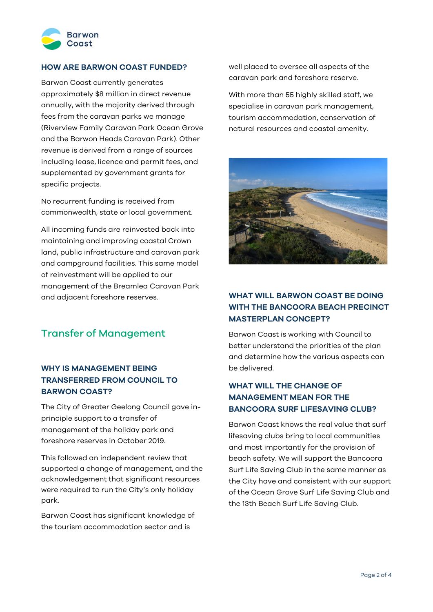

#### **HOW ARE BARWON COAST FUNDED?**

Barwon Coast currently generates approximately \$8 million in direct revenue annually, with the majority derived through fees from the caravan parks we manage (Riverview Family Caravan Park Ocean Grove and the Barwon Heads Caravan Park). Other revenue is derived from a range of sources including lease, licence and permit fees, and supplemented by government grants for specific projects.

No recurrent funding is received from commonwealth, state or local government.

All incoming funds are reinvested back into maintaining and improving coastal Crown land, public infrastructure and caravan park and campground facilities. This same model of reinvestment will be applied to our management of the Breamlea Caravan Park and adjacent foreshore reserves.

# Transfer of Management

#### **WHY IS MANAGEMENT BEING TRANSFERRED FROM COUNCIL TO BARWON COAST?**

The City of Greater Geelong Council gave inprinciple support to a transfer of management of the holiday park and foreshore reserves in October 2019.

This followed an independent review that supported a change of management, and the acknowledgement that significant resources were required to run the City's only holiday park.

Barwon Coast has significant knowledge of the tourism accommodation sector and is

well placed to oversee all aspects of the caravan park and foreshore reserve.

With more than 55 highly skilled staff, we specialise in caravan park management, tourism accommodation, conservation of natural resources and coastal amenity.



#### **WHAT WILL BARWON COAST BE DOING WITH THE BANCOORA BEACH PRECINCT MASTERPLAN CONCEPT?**

Barwon Coast is working with Council to better understand the priorities of the plan and determine how the various aspects can be delivered.

#### **WHAT WILL THE CHANGE OF MANAGEMENT MEAN FOR THE BANCOORA SURF LIFESAVING CLUB?**

Barwon Coast knows the real value that surf lifesaving clubs bring to local communities and most importantly for the provision of beach safety. We will support the Bancoora Surf Life Saving Club in the same manner as the City have and consistent with our support of the Ocean Grove Surf Life Saving Club and the 13th Beach Surf Life Saving Club.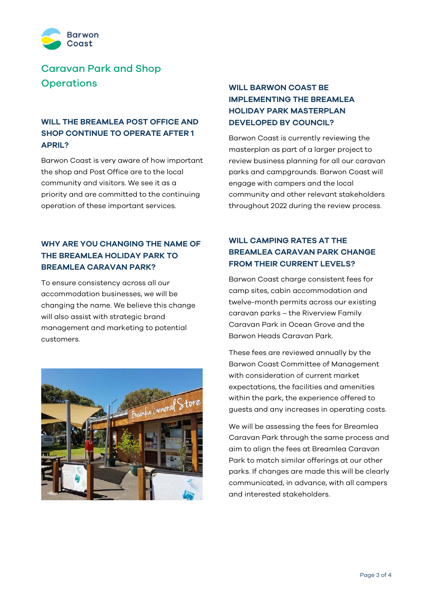

# Caravan Park and Shop **Operations**

#### **WILL THE BREAMLEA POST OFFICE AND SHOP CONTINUE TO OPERATE AFTER 1 APRIL?**

Barwon Coast is very aware of how important the shop and Post Office are to the local community and visitors. We see it as a priority and are committed to the continuing operation of these important services.

#### **WHY ARE YOU CHANGING THE NAME OF THE BREAMLEA HOLIDAY PARK TO BREAMLEA CARAVAN PARK?**

To ensure consistency across all our accommodation businesses, we will be changing the name. We believe this change will also assist with strategic brand management and marketing to potential customers.



## **WILL BARWON COAST BE IMPLEMENTING THE BREAMLEA HOLIDAY PARK MASTERPLAN DEVELOPED BY COUNCIL?**

Barwon Coast is currently reviewing the masterplan as part of a larger project to review business planning for all our caravan parks and campgrounds. Barwon Coast will engage with campers and the local community and other relevant stakeholders throughout 2022 during the review process.

#### **WILL CAMPING RATES AT THE BREAMLEA CARAVAN PARK CHANGE FROM THEIR CURRENT LEVELS?**

Barwon Coast charge consistent fees for camp sites, cabin accommodation and twelve-month permits across our existing caravan parks – the Riverview Family Caravan Park in Ocean Grove and the Barwon Heads Caravan Park.

These fees are reviewed annually by the Barwon Coast Committee of Management with consideration of current market expectations, the facilities and amenities within the park, the experience offered to guests and any increases in operating costs.

We will be assessing the fees for Breamlea Caravan Park through the same process and aim to align the fees at Breamlea Caravan Park to match similar offerings at our other parks. If changes are made this will be clearly communicated, in advance, with all campers and interested stakeholders.